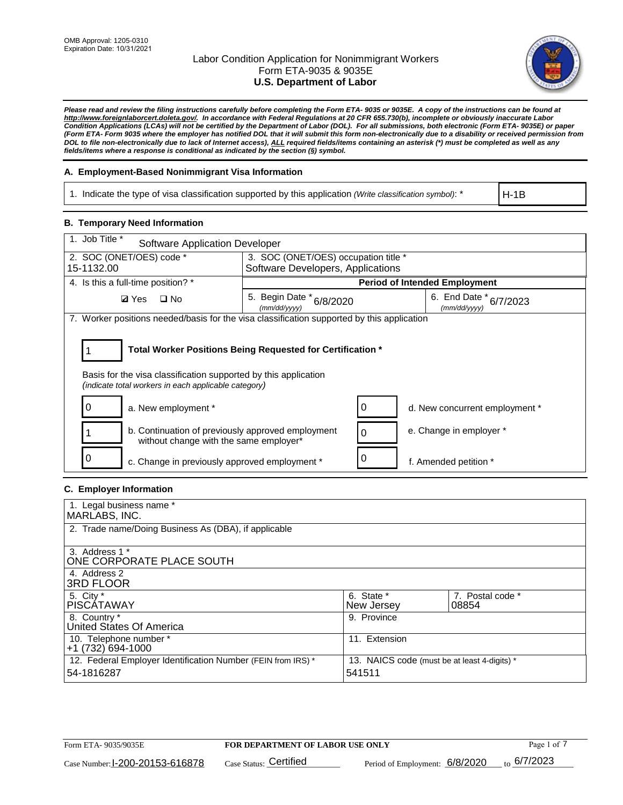

*Please read and review the filing instructions carefully before completing the Form ETA- 9035 or 9035E. A copy of the instructions can be found at [http://www.foreignlaborcert.doleta.gov/.](http://www.foreignlaborcert.doleta.gov/) In accordance with Federal Regulations at 20 CFR 655.730(b), incomplete or obviously inaccurate Labor Condition Applications (LCAs) will not be certified by the Department of Labor (DOL). For all submissions, both electronic (Form ETA- 9035E) or paper (Form ETA- Form 9035 where the employer has notified DOL that it will submit this form non-electronically due to a disability or received permission from DOL to file non-electronically due to lack of Internet access), ALL required fields/items containing an asterisk (\*) must be completed as well as any fields/items where a response is conditional as indicated by the section (§) symbol.* 

## **A. Employment-Based Nonimmigrant Visa Information**

1. Indicate the type of visa classification supported by this application *(Write classification symbol)*: \*

H-1B

## **B. Temporary Need Information**

| 1. Job Title *<br>Software Application Developer                                                                                                                                      |                                          |   |                                        |  |  |
|---------------------------------------------------------------------------------------------------------------------------------------------------------------------------------------|------------------------------------------|---|----------------------------------------|--|--|
| 2. SOC (ONET/OES) code *                                                                                                                                                              | 3. SOC (ONET/OES) occupation title *     |   |                                        |  |  |
| 15-1132.00                                                                                                                                                                            | Software Developers, Applications        |   |                                        |  |  |
| 4. Is this a full-time position? *                                                                                                                                                    |                                          |   | <b>Period of Intended Employment</b>   |  |  |
| $\Box$ No<br><b>Ø</b> Yes                                                                                                                                                             | 5. Begin Date * 6/8/2020<br>(mm/dd/vvvv) |   | 6. End Date * 6/7/2023<br>(mm/dd/yyyy) |  |  |
| 7. Worker positions needed/basis for the visa classification supported by this application                                                                                            |                                          |   |                                        |  |  |
| Total Worker Positions Being Requested for Certification *<br>Basis for the visa classification supported by this application<br>(indicate total workers in each applicable category) |                                          |   |                                        |  |  |
| a. New employment *                                                                                                                                                                   |                                          |   | d. New concurrent employment *         |  |  |
| b. Continuation of previously approved employment<br>without change with the same employer*                                                                                           |                                          | 0 | e. Change in employer *                |  |  |
| c. Change in previously approved employment *                                                                                                                                         |                                          |   | f. Amended petition *                  |  |  |

## **C. Employer Information**

| 1. Legal business name *                                     |                                              |                  |
|--------------------------------------------------------------|----------------------------------------------|------------------|
| MARLABS, INC.                                                |                                              |                  |
| 2. Trade name/Doing Business As (DBA), if applicable         |                                              |                  |
|                                                              |                                              |                  |
| 3. Address 1 *                                               |                                              |                  |
| ONE CORPORATE PLACE SOUTH                                    |                                              |                  |
| 4. Address 2                                                 |                                              |                  |
| <b>3RD FLOOR</b>                                             |                                              |                  |
| 5. City *                                                    | 6. State *                                   | 7. Postal code * |
| PISCÁTAWAY                                                   | New Jersey                                   | 08854            |
| 8. Country *                                                 | 9. Province                                  |                  |
| United States Of America                                     |                                              |                  |
| 10. Telephone number *                                       | 11. Extension                                |                  |
| +1 (732) 694-1000                                            |                                              |                  |
| 12. Federal Employer Identification Number (FEIN from IRS) * | 13. NAICS code (must be at least 4-digits) * |                  |
| 54-1816287                                                   | 541511                                       |                  |
|                                                              |                                              |                  |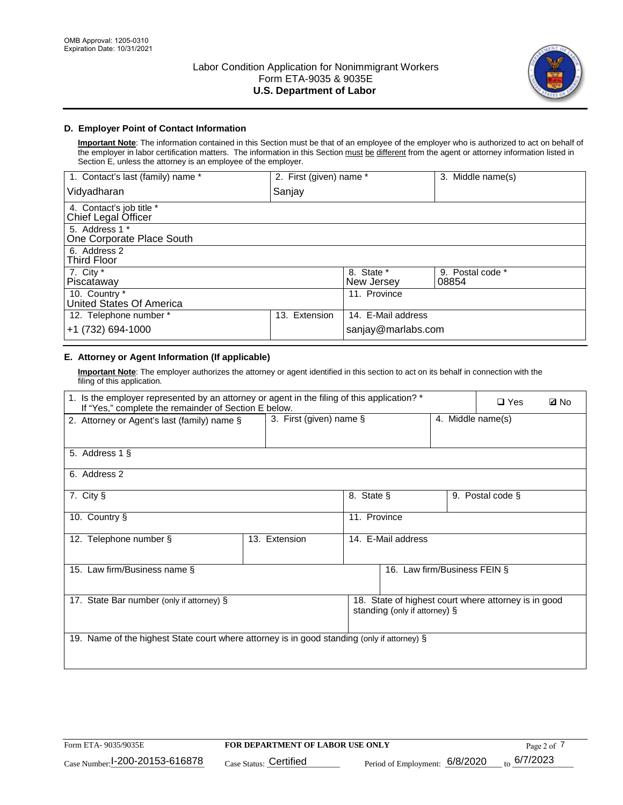

# **D. Employer Point of Contact Information**

**Important Note**: The information contained in this Section must be that of an employee of the employer who is authorized to act on behalf of the employer in labor certification matters. The information in this Section must be different from the agent or attorney information listed in Section E, unless the attorney is an employee of the employer.

| 1. Contact's last (family) name *               | 2. First (given) name * |                          | 3. Middle name(s)         |
|-------------------------------------------------|-------------------------|--------------------------|---------------------------|
| Vidyadharan                                     | Sanjay                  |                          |                           |
| 4. Contact's job title *<br>Chief Legal Officer |                         |                          |                           |
| 5. Address 1 *<br>One Corporate Place South     |                         |                          |                           |
| 6. Address 2<br><b>Third Floor</b>              |                         |                          |                           |
| 7. City *<br>Piscataway                         |                         | 8. State *<br>New Jersey | 9. Postal code *<br>08854 |
| 10. Country *<br>United States Of America       |                         | 11. Province             |                           |
| 12. Telephone number *                          | Extension<br>13.        | 14. E-Mail address       |                           |
| +1 (732) 694-1000                               |                         | sanjay@marlabs.com       |                           |

# **E. Attorney or Agent Information (If applicable)**

**Important Note**: The employer authorizes the attorney or agent identified in this section to act on its behalf in connection with the filing of this application.

| 1. Is the employer represented by an attorney or agent in the filing of this application? *<br>If "Yes," complete the remainder of Section E below. |                                     | $\square$ Yes                  | <b>Ø</b> No                                                                           |  |                   |  |
|-----------------------------------------------------------------------------------------------------------------------------------------------------|-------------------------------------|--------------------------------|---------------------------------------------------------------------------------------|--|-------------------|--|
| 2. Attorney or Agent's last (family) name §                                                                                                         | 3. First (given) name $\S$          |                                |                                                                                       |  | 4. Middle name(s) |  |
|                                                                                                                                                     |                                     |                                |                                                                                       |  |                   |  |
| 5. Address 1 §                                                                                                                                      |                                     |                                |                                                                                       |  |                   |  |
| 6. Address 2                                                                                                                                        |                                     |                                |                                                                                       |  |                   |  |
| 7. City §                                                                                                                                           |                                     | 8. State §<br>9. Postal code § |                                                                                       |  |                   |  |
| 10. Country §                                                                                                                                       |                                     | 11. Province                   |                                                                                       |  |                   |  |
| 12. Telephone number §                                                                                                                              | 14. E-Mail address<br>13. Extension |                                |                                                                                       |  |                   |  |
| 15. Law firm/Business name §                                                                                                                        |                                     |                                | 16. Law firm/Business FEIN §                                                          |  |                   |  |
| 17. State Bar number (only if attorney) §                                                                                                           |                                     |                                | 18. State of highest court where attorney is in good<br>standing (only if attorney) § |  |                   |  |
| 19. Name of the highest State court where attorney is in good standing (only if attorney) §                                                         |                                     |                                |                                                                                       |  |                   |  |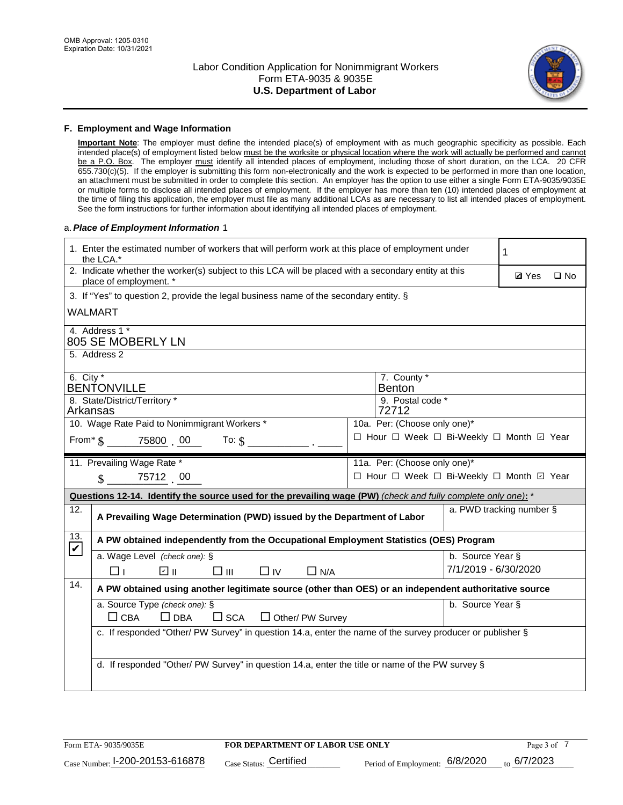

### **F. Employment and Wage Information**

**Important Note**: The employer must define the intended place(s) of employment with as much geographic specificity as possible. Each intended place(s) of employment listed below must be the worksite or physical location where the work will actually be performed and cannot be a P.O. Box. The employer must identify all intended places of employment, including those of short duration, on the LCA. 20 CFR 655.730(c)(5). If the employer is submitting this form non-electronically and the work is expected to be performed in more than one location, an attachment must be submitted in order to complete this section. An employer has the option to use either a single Form ETA-9035/9035E or multiple forms to disclose all intended places of employment. If the employer has more than ten (10) intended places of employment at the time of filing this application, the employer must file as many additional LCAs as are necessary to list all intended places of employment. See the form instructions for further information about identifying all intended places of employment.

### a.*Place of Employment Information* 1

|                             | 1. Enter the estimated number of workers that will perform work at this place of employment under<br>the LCA.*                 |  |                                          |                      |              |              |
|-----------------------------|--------------------------------------------------------------------------------------------------------------------------------|--|------------------------------------------|----------------------|--------------|--------------|
|                             | 2. Indicate whether the worker(s) subject to this LCA will be placed with a secondary entity at this<br>place of employment. * |  |                                          |                      | <b>Ø</b> Yes | $\square$ No |
|                             | 3. If "Yes" to question 2, provide the legal business name of the secondary entity. §                                          |  |                                          |                      |              |              |
|                             | <b>WALMART</b>                                                                                                                 |  |                                          |                      |              |              |
|                             | 4. Address 1 *<br>805 SE MOBERLY LN                                                                                            |  |                                          |                      |              |              |
|                             | 5. Address 2                                                                                                                   |  |                                          |                      |              |              |
| 6. City $*$                 |                                                                                                                                |  | 7. County *                              |                      |              |              |
|                             | <b>BENTONVILLE</b>                                                                                                             |  | <b>Benton</b>                            |                      |              |              |
| Arkansas                    | 8. State/District/Territory *                                                                                                  |  | 9. Postal code *<br>72712                |                      |              |              |
|                             | 10. Wage Rate Paid to Nonimmigrant Workers *                                                                                   |  | 10a. Per: (Choose only one)*             |                      |              |              |
|                             | □ Hour □ Week □ Bi-Weekly □ Month ☑ Year<br>From * \$ 75800 00<br>To: $$$                                                      |  |                                          |                      |              |              |
|                             | 11. Prevailing Wage Rate *                                                                                                     |  | 11a. Per: (Choose only one)*             |                      |              |              |
|                             | $\sin 75712$ 00                                                                                                                |  | □ Hour □ Week □ Bi-Weekly □ Month ☑ Year |                      |              |              |
|                             | Questions 12-14. Identify the source used for the prevailing wage (PW) (check and fully complete only one): *                  |  |                                          |                      |              |              |
| 12.                         | a. PWD tracking number §<br>A Prevailing Wage Determination (PWD) issued by the Department of Labor                            |  |                                          |                      |              |              |
| 13.<br>$\blacktriangledown$ | A PW obtained independently from the Occupational Employment Statistics (OES) Program                                          |  |                                          |                      |              |              |
|                             | a. Wage Level (check one): §                                                                                                   |  |                                          | b. Source Year §     |              |              |
|                             | ☑ ⊪<br>□⊪<br>$\Box$ IV<br>⊓⊥<br>$\Box$ N/A                                                                                     |  |                                          | 7/1/2019 - 6/30/2020 |              |              |
| 14.                         | A PW obtained using another legitimate source (other than OES) or an independent authoritative source                          |  |                                          |                      |              |              |
|                             | a. Source Type (check one): §                                                                                                  |  |                                          | b. Source Year §     |              |              |
|                             | $\Box$ CBA<br>$\Box$ DBA<br>$\square$ SCA<br>$\Box$ Other/ PW Survey                                                           |  |                                          |                      |              |              |
|                             | c. If responded "Other/ PW Survey" in question 14.a, enter the name of the survey producer or publisher §                      |  |                                          |                      |              |              |
|                             |                                                                                                                                |  |                                          |                      |              |              |
|                             | d. If responded "Other/ PW Survey" in question 14.a, enter the title or name of the PW survey §                                |  |                                          |                      |              |              |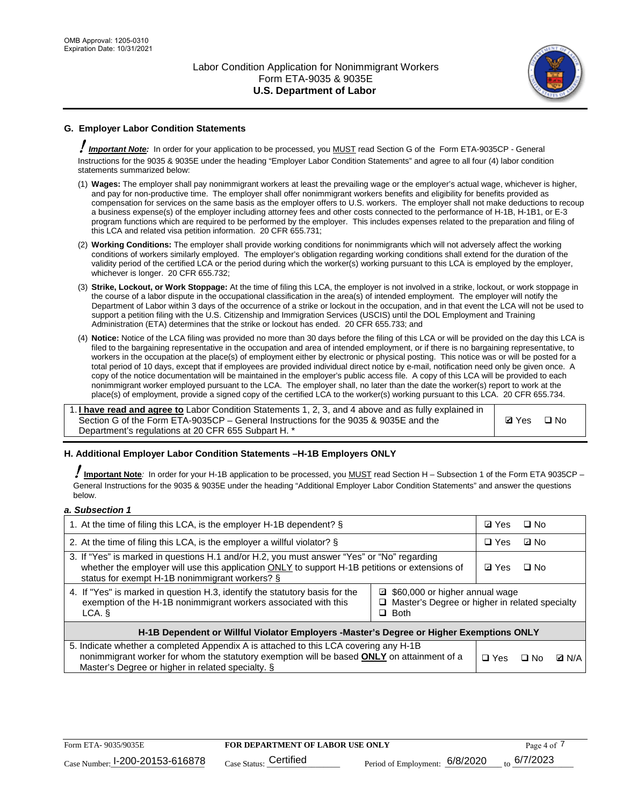

# **G. Employer Labor Condition Statements**

! *Important Note:* In order for your application to be processed, you MUST read Section G of the Form ETA-9035CP - General Instructions for the 9035 & 9035E under the heading "Employer Labor Condition Statements" and agree to all four (4) labor condition statements summarized below:

- (1) **Wages:** The employer shall pay nonimmigrant workers at least the prevailing wage or the employer's actual wage, whichever is higher, and pay for non-productive time. The employer shall offer nonimmigrant workers benefits and eligibility for benefits provided as compensation for services on the same basis as the employer offers to U.S. workers. The employer shall not make deductions to recoup a business expense(s) of the employer including attorney fees and other costs connected to the performance of H-1B, H-1B1, or E-3 program functions which are required to be performed by the employer. This includes expenses related to the preparation and filing of this LCA and related visa petition information. 20 CFR 655.731;
- (2) **Working Conditions:** The employer shall provide working conditions for nonimmigrants which will not adversely affect the working conditions of workers similarly employed. The employer's obligation regarding working conditions shall extend for the duration of the validity period of the certified LCA or the period during which the worker(s) working pursuant to this LCA is employed by the employer, whichever is longer. 20 CFR 655.732;
- (3) **Strike, Lockout, or Work Stoppage:** At the time of filing this LCA, the employer is not involved in a strike, lockout, or work stoppage in the course of a labor dispute in the occupational classification in the area(s) of intended employment. The employer will notify the Department of Labor within 3 days of the occurrence of a strike or lockout in the occupation, and in that event the LCA will not be used to support a petition filing with the U.S. Citizenship and Immigration Services (USCIS) until the DOL Employment and Training Administration (ETA) determines that the strike or lockout has ended. 20 CFR 655.733; and
- (4) **Notice:** Notice of the LCA filing was provided no more than 30 days before the filing of this LCA or will be provided on the day this LCA is filed to the bargaining representative in the occupation and area of intended employment, or if there is no bargaining representative, to workers in the occupation at the place(s) of employment either by electronic or physical posting. This notice was or will be posted for a total period of 10 days, except that if employees are provided individual direct notice by e-mail, notification need only be given once. A copy of the notice documentation will be maintained in the employer's public access file. A copy of this LCA will be provided to each nonimmigrant worker employed pursuant to the LCA. The employer shall, no later than the date the worker(s) report to work at the place(s) of employment, provide a signed copy of the certified LCA to the worker(s) working pursuant to this LCA. 20 CFR 655.734.

1. **I have read and agree to** Labor Condition Statements 1, 2, 3, and 4 above and as fully explained in Section G of the Form ETA-9035CP – General Instructions for the 9035 & 9035E and the Department's regulations at 20 CFR 655 Subpart H. \*

**Ø**Yes ロNo

## **H. Additional Employer Labor Condition Statements –H-1B Employers ONLY**

!**Important Note***:* In order for your H-1B application to be processed, you MUST read Section H – Subsection 1 of the Form ETA 9035CP – General Instructions for the 9035 & 9035E under the heading "Additional Employer Labor Condition Statements" and answer the questions below.

#### *a. Subsection 1*

| 1. At the time of filing this LCA, is the employer H-1B dependent? §                                                                                                                                                                                            |  |            | □ No      |              |
|-----------------------------------------------------------------------------------------------------------------------------------------------------------------------------------------------------------------------------------------------------------------|--|------------|-----------|--------------|
| 2. At the time of filing this LCA, is the employer a willful violator? $\S$                                                                                                                                                                                     |  | $\Box$ Yes | ⊡ No      |              |
| 3. If "Yes" is marked in questions H.1 and/or H.2, you must answer "Yes" or "No" regarding<br>whether the employer will use this application ONLY to support H-1B petitions or extensions of<br>status for exempt H-1B nonimmigrant workers? §                  |  |            | $\Box$ No |              |
| 4. If "Yes" is marked in question H.3, identify the statutory basis for the<br>■ \$60,000 or higher annual wage<br>exemption of the H-1B nonimmigrant workers associated with this<br>□ Master's Degree or higher in related specialty<br>$\Box$ Both<br>LCA. § |  |            |           |              |
| H-1B Dependent or Willful Violator Employers -Master's Degree or Higher Exemptions ONLY                                                                                                                                                                         |  |            |           |              |
| 5. Indicate whether a completed Appendix A is attached to this LCA covering any H-1B<br>nonimmigrant worker for whom the statutory exemption will be based <b>ONLY</b> on attainment of a<br>Master's Degree or higher in related specialty. §                  |  |            | ⊡ No      | <b>Q</b> N/A |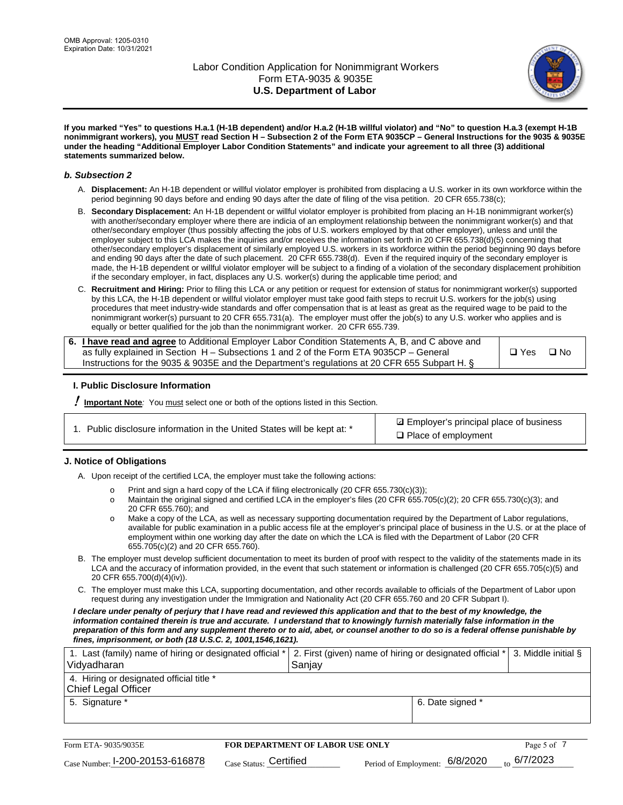

**If you marked "Yes" to questions H.a.1 (H-1B dependent) and/or H.a.2 (H-1B willful violator) and "No" to question H.a.3 (exempt H-1B nonimmigrant workers), you MUST read Section H – Subsection 2 of the Form ETA 9035CP – General Instructions for the 9035 & 9035E under the heading "Additional Employer Labor Condition Statements" and indicate your agreement to all three (3) additional statements summarized below.**

### *b. Subsection 2*

- A. **Displacement:** An H-1B dependent or willful violator employer is prohibited from displacing a U.S. worker in its own workforce within the period beginning 90 days before and ending 90 days after the date of filing of the visa petition. 20 CFR 655.738(c);
- B. **Secondary Displacement:** An H-1B dependent or willful violator employer is prohibited from placing an H-1B nonimmigrant worker(s) with another/secondary employer where there are indicia of an employment relationship between the nonimmigrant worker(s) and that other/secondary employer (thus possibly affecting the jobs of U.S. workers employed by that other employer), unless and until the employer subject to this LCA makes the inquiries and/or receives the information set forth in 20 CFR 655.738(d)(5) concerning that other/secondary employer's displacement of similarly employed U.S. workers in its workforce within the period beginning 90 days before and ending 90 days after the date of such placement. 20 CFR 655.738(d). Even if the required inquiry of the secondary employer is made, the H-1B dependent or willful violator employer will be subject to a finding of a violation of the secondary displacement prohibition if the secondary employer, in fact, displaces any U.S. worker(s) during the applicable time period; and
- C. **Recruitment and Hiring:** Prior to filing this LCA or any petition or request for extension of status for nonimmigrant worker(s) supported by this LCA, the H-1B dependent or willful violator employer must take good faith steps to recruit U.S. workers for the job(s) using procedures that meet industry-wide standards and offer compensation that is at least as great as the required wage to be paid to the nonimmigrant worker(s) pursuant to 20 CFR 655.731(a). The employer must offer the job(s) to any U.S. worker who applies and is equally or better qualified for the job than the nonimmigrant worker. 20 CFR 655.739.

| 6. I have read and agree to Additional Employer Labor Condition Statements A, B, and C above and |       |           |
|--------------------------------------------------------------------------------------------------|-------|-----------|
| as fully explained in Section H – Subsections 1 and 2 of the Form ETA 9035CP – General           | □ Yes | $\Box$ No |
| Instructions for the 9035 & 9035E and the Department's regulations at 20 CFR 655 Subpart H. §    |       |           |

## **I. Public Disclosure Information**

! **Important Note***:* You must select one or both of the options listed in this Section.

|  | 1. Public disclosure information in the United States will be kept at: * |  |  |  |
|--|--------------------------------------------------------------------------|--|--|--|
|  |                                                                          |  |  |  |

**sqrt** Employer's principal place of business □ Place of employment

## **J. Notice of Obligations**

A. Upon receipt of the certified LCA, the employer must take the following actions:

- o Print and sign a hard copy of the LCA if filing electronically (20 CFR 655.730(c)(3));<br>
Maintain the original signed and certified LCA in the employer's files (20 CFR 655.7
- Maintain the original signed and certified LCA in the employer's files (20 CFR 655.705(c)(2); 20 CFR 655.730(c)(3); and 20 CFR 655.760); and
- o Make a copy of the LCA, as well as necessary supporting documentation required by the Department of Labor regulations, available for public examination in a public access file at the employer's principal place of business in the U.S. or at the place of employment within one working day after the date on which the LCA is filed with the Department of Labor (20 CFR 655.705(c)(2) and 20 CFR 655.760).
- B. The employer must develop sufficient documentation to meet its burden of proof with respect to the validity of the statements made in its LCA and the accuracy of information provided, in the event that such statement or information is challenged (20 CFR 655.705(c)(5) and 20 CFR 655.700(d)(4)(iv)).
- C. The employer must make this LCA, supporting documentation, and other records available to officials of the Department of Labor upon request during any investigation under the Immigration and Nationality Act (20 CFR 655.760 and 20 CFR Subpart I).

*I declare under penalty of perjury that I have read and reviewed this application and that to the best of my knowledge, the*  information contained therein is true and accurate. I understand that to knowingly furnish materially false information in the *preparation of this form and any supplement thereto or to aid, abet, or counsel another to do so is a federal offense punishable by fines, imprisonment, or both (18 U.S.C. 2, 1001,1546,1621).*

| Vidyadharan                                                            | Saniav           |  |
|------------------------------------------------------------------------|------------------|--|
| 4. Hiring or designated official title *<br><b>Chief Legal Officer</b> |                  |  |
| 5. Signature *                                                         | 6. Date signed * |  |
|                                                                        |                  |  |

| Form ETA-9035/9035E             | <b>FOR DEPARTMENT OF LABOR USE ONLY</b> | Page 5 of $\overline{7}$       |                         |
|---------------------------------|-----------------------------------------|--------------------------------|-------------------------|
| Case Number: 1-200-20153-616878 | Case Status: Certified                  | Period of Employment: 6/8/2020 | $_{\text{to}}$ 6/7/2023 |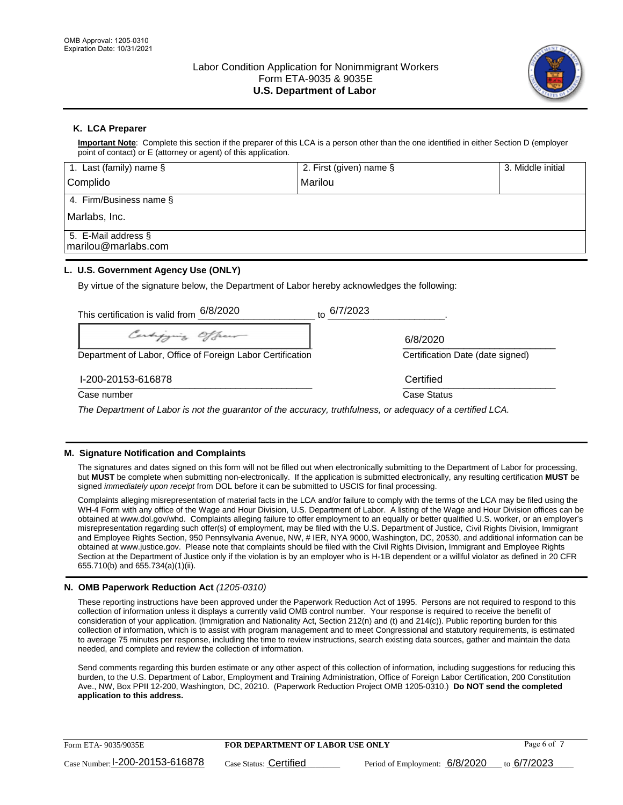

## **K. LCA Preparer**

**Important Note**: Complete this section if the preparer of this LCA is a person other than the one identified in either Section D (employer point of contact) or E (attorney or agent) of this application.

| 1. Last (family) name $\S$                    | 2. First (given) name § | 3. Middle initial |
|-----------------------------------------------|-------------------------|-------------------|
| Complido                                      | Marilou                 |                   |
| 4. Firm/Business name $\S$                    |                         |                   |
| Marlabs, Inc.                                 |                         |                   |
| 5. E-Mail address $\S$<br>marilou@marlabs.com |                         |                   |

## **L. U.S. Government Agency Use (ONLY)**

By virtue of the signature below, the Department of Labor hereby acknowledges the following:

| This certification is valid from $6/8/2020$                                                                 | to 6/7/2023                      |
|-------------------------------------------------------------------------------------------------------------|----------------------------------|
| Certifying Officer                                                                                          | 6/8/2020                         |
| Department of Labor, Office of Foreign Labor Certification                                                  | Certification Date (date signed) |
| I-200-20153-616878                                                                                          | Certified                        |
| Case number                                                                                                 | Case Status                      |
| The Department of Labor is not the guarantor of the accuracy, truthfulness, or adequacy of a certified LCA. |                                  |

## **M. Signature Notification and Complaints**

The signatures and dates signed on this form will not be filled out when electronically submitting to the Department of Labor for processing, but **MUST** be complete when submitting non-electronically. If the application is submitted electronically, any resulting certification **MUST** be signed *immediately upon receipt* from DOL before it can be submitted to USCIS for final processing.

Complaints alleging misrepresentation of material facts in the LCA and/or failure to comply with the terms of the LCA may be filed using the WH-4 Form with any office of the Wage and Hour Division, U.S. Department of Labor. A listing of the Wage and Hour Division offices can be obtained at www.dol.gov/whd. Complaints alleging failure to offer employment to an equally or better qualified U.S. worker, or an employer's misrepresentation regarding such offer(s) of employment, may be filed with the U.S. Department of Justice, Civil Rights Division, Immigrant and Employee Rights Section, 950 Pennsylvania Avenue, NW, # IER, NYA 9000, Washington, DC, 20530, and additional information can be obtained at www.justice.gov. Please note that complaints should be filed with the Civil Rights Division, Immigrant and Employee Rights Section at the Department of Justice only if the violation is by an employer who is H-1B dependent or a willful violator as defined in 20 CFR 655.710(b) and 655.734(a)(1)(ii).

## **N. OMB Paperwork Reduction Act** *(1205-0310)*

These reporting instructions have been approved under the Paperwork Reduction Act of 1995. Persons are not required to respond to this collection of information unless it displays a currently valid OMB control number. Your response is required to receive the benefit of consideration of your application. (Immigration and Nationality Act, Section 212(n) and (t) and 214(c)). Public reporting burden for this collection of information, which is to assist with program management and to meet Congressional and statutory requirements, is estimated to average 75 minutes per response, including the time to review instructions, search existing data sources, gather and maintain the data needed, and complete and review the collection of information.

Send comments regarding this burden estimate or any other aspect of this collection of information, including suggestions for reducing this burden, to the U.S. Department of Labor, Employment and Training Administration, Office of Foreign Labor Certification, 200 Constitution Ave., NW, Box PPII 12-200, Washington, DC, 20210. (Paperwork Reduction Project OMB 1205-0310.) **Do NOT send the completed application to this address.**

| Form ETA-9035/9035E             | <b>FOR DEPARTMENT OF LABOR USE ONLY</b> | Page 6 of 7                                    |  |
|---------------------------------|-----------------------------------------|------------------------------------------------|--|
| Case Number: 1-200-20153-616878 | Case Status: Certified                  | Period of Employment: $6/8/2020$ to $6/7/2023$ |  |